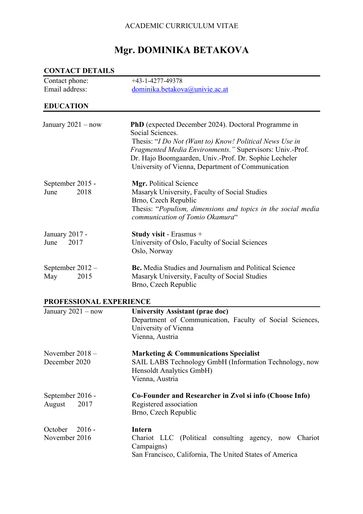# ACADEMIC CURRICULUM VITAE

# **Mgr. DOMINIKA BETAKOVA**

| <b>CONTACT DETAILS</b>               |                                                                                                                                                                                                                                                                                                                     |  |  |
|--------------------------------------|---------------------------------------------------------------------------------------------------------------------------------------------------------------------------------------------------------------------------------------------------------------------------------------------------------------------|--|--|
| Contact phone:                       | $+43 - 1 - 4277 - 49378$                                                                                                                                                                                                                                                                                            |  |  |
| Email address:                       | dominika.betakova@univie.ac.at                                                                                                                                                                                                                                                                                      |  |  |
| <b>EDUCATION</b>                     |                                                                                                                                                                                                                                                                                                                     |  |  |
| January $2021 - now$                 | <b>PhD</b> (expected December 2024). Doctoral Programme in<br>Social Sciences.<br>Thesis: "I Do Not (Want to) Know! Political News Use in<br>Fragmented Media Environments." Supervisors: Univ.-Prof.<br>Dr. Hajo Boomgaarden, Univ.-Prof. Dr. Sophie Lecheler<br>University of Vienna, Department of Communication |  |  |
| September 2015 -<br>2018<br>June     | Mgr. Political Science<br>Masaryk University, Faculty of Social Studies<br>Brno, Czech Republic<br>Thesis: "Populism, dimensions and topics in the social media<br>communication of Tomio Okamura"                                                                                                                  |  |  |
| January 2017 -<br>2017<br>June       | Study visit - Erasmus +<br>University of Oslo, Faculty of Social Sciences<br>Oslo, Norway                                                                                                                                                                                                                           |  |  |
| September $2012 -$<br>May<br>2015    | <b>Bc.</b> Media Studies and Journalism and Political Science<br>Masaryk University, Faculty of Social Studies<br>Brno, Czech Republic                                                                                                                                                                              |  |  |
| PROFESSIONAL EXPERIENCE              |                                                                                                                                                                                                                                                                                                                     |  |  |
| January $2021 - now$                 | <b>University Assistant (prae doc)</b><br>Department of Communication, Faculty of Social Sciences,<br>University of Vienna<br>Vienna, Austria                                                                                                                                                                       |  |  |
| November $2018 -$<br>December 2020   | <b>Marketing &amp; Communications Specialist</b><br>SAIL LABS Technology GmbH (Information Technology, now<br>Hensoldt Analytics GmbH)<br>Vienna, Austria                                                                                                                                                           |  |  |
| September 2016 -<br>2017<br>August   | Co-Founder and Researcher in Zvol si info (Choose Info)<br>Registered association<br>Brno, Czech Republic                                                                                                                                                                                                           |  |  |
| $2016 -$<br>October<br>November 2016 | <b>Intern</b><br>Chariot LLC (Political consulting agency, now Chariot<br>Campaigns)<br>San Francisco, California, The United States of America                                                                                                                                                                     |  |  |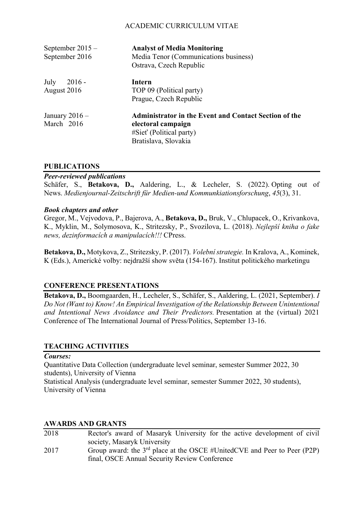# ACADEMIC CURRICULUM VITAE

| September $2015 -$<br>September 2016 | <b>Analyst of Media Monitoring</b><br>Media Tenor (Communications business)<br>Ostrava, Czech Republic                          |
|--------------------------------------|---------------------------------------------------------------------------------------------------------------------------------|
| July<br>$2016 -$<br>August 2016      | Intern<br>TOP 09 (Political party)<br>Prague, Czech Republic                                                                    |
| January $2016 -$<br>March 2016       | Administrator in the Event and Contact Section of the<br>electoral campaign<br>#Siet' (Political party)<br>Bratislava, Slovakia |

#### **PUBLICATIONS**

#### *Peer-reviewed publications*

Schäfer, S., **Betakova, D.,** Aaldering, L., & Lecheler, S. (2022). Opting out of News. *Medienjournal-Zeitschrift für Medien-und Kommunkiationsforschung*, *45*(3), 31.

#### *Book chapters and other*

Gregor, M., Vejvodova, P., Bajerova, A., **Betakova, D.,** Bruk, V., Chlupacek, O., Krivankova, K., Myklin, M., Solymosova, K., Stritezsky, P., Svozilova, L. (2018). *Nejlepší kniha o fake news, dezinformacích a manipulacích!!!* CPress.

**Betakova, D.,** Motykova, Z., Stritezsky, P. (2017). *Volební strategie.* In Kralova, A., Kominek, K (Eds.), Americké volby: nejdražší show světa (154-167). Institut politického marketingu

## **CONFERENCE PRESENTATIONS**

**Betakova, D.,** Boomgaarden, H., Lecheler, S., Schäfer, S., Aaldering, L. (2021, September). *I Do Not (Want to) Know! An Empirical Investigation of the Relationship Between Unintentional and Intentional News Avoidance and Their Predictors.* Presentation at the (virtual) 2021 Conference of The International Journal of Press/Politics, September 13-16.

## **TEACHING ACTIVITIES**

#### *Courses:*

Quantitative Data Collection (undergraduate level seminar, semester Summer 2022, 30 students), University of Vienna

Statistical Analysis (undergraduate level seminar, semester Summer 2022, 30 students), University of Vienna

#### **AWARDS AND GRANTS**

| 2018 | Rector's award of Masaryk University for the active development of civil      |
|------|-------------------------------------------------------------------------------|
|      | society, Masaryk University                                                   |
| 2017 | Group award: the $3^{rd}$ place at the OSCE #UnitedCVE and Peer to Peer (P2P) |
|      | final, OSCE Annual Security Review Conference                                 |